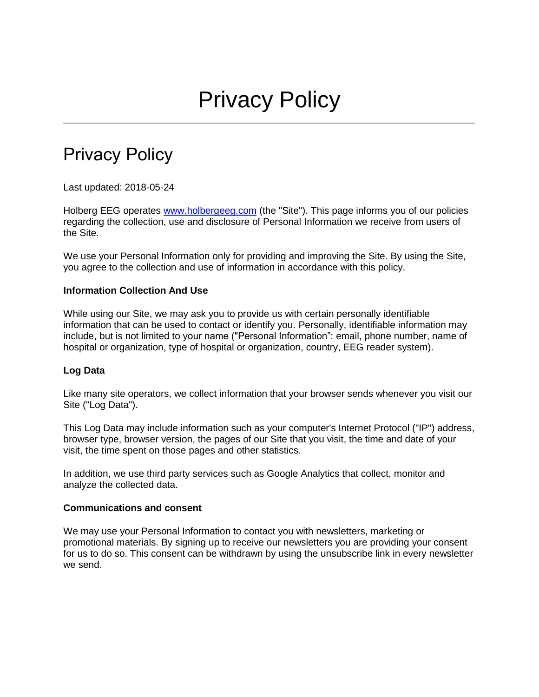# Privacy Policy

Last updated: 2018-05-24

Holberg EEG operates [www.holbergeeg.com](http://www.holbergeeg.com/) (the "Site"). This page informs you of our policies regarding the collection, use and disclosure of Personal Information we receive from users of the Site.

We use your Personal Information only for providing and improving the Site. By using the Site, you agree to the collection and use of information in accordance with this policy.

# **Information Collection And Use**

While using our Site, we may ask you to provide us with certain personally identifiable information that can be used to contact or identify you. Personally, identifiable information may include, but is not limited to your name ("Personal Information": email, phone number, name of hospital or organization, type of hospital or organization, country, EEG reader system).

# **Log Data**

Like many site operators, we collect information that your browser sends whenever you visit our Site ("Log Data").

This Log Data may include information such as your computer's Internet Protocol ("IP") address, browser type, browser version, the pages of our Site that you visit, the time and date of your visit, the time spent on those pages and other statistics.

In addition, we use third party services such as Google Analytics that collect, monitor and analyze the collected data.

#### **Communications and consent**

We may use your Personal Information to contact you with newsletters, marketing or promotional materials. By signing up to receive our newsletters you are providing your consent for us to do so. This consent can be withdrawn by using the unsubscribe link in every newsletter we send.